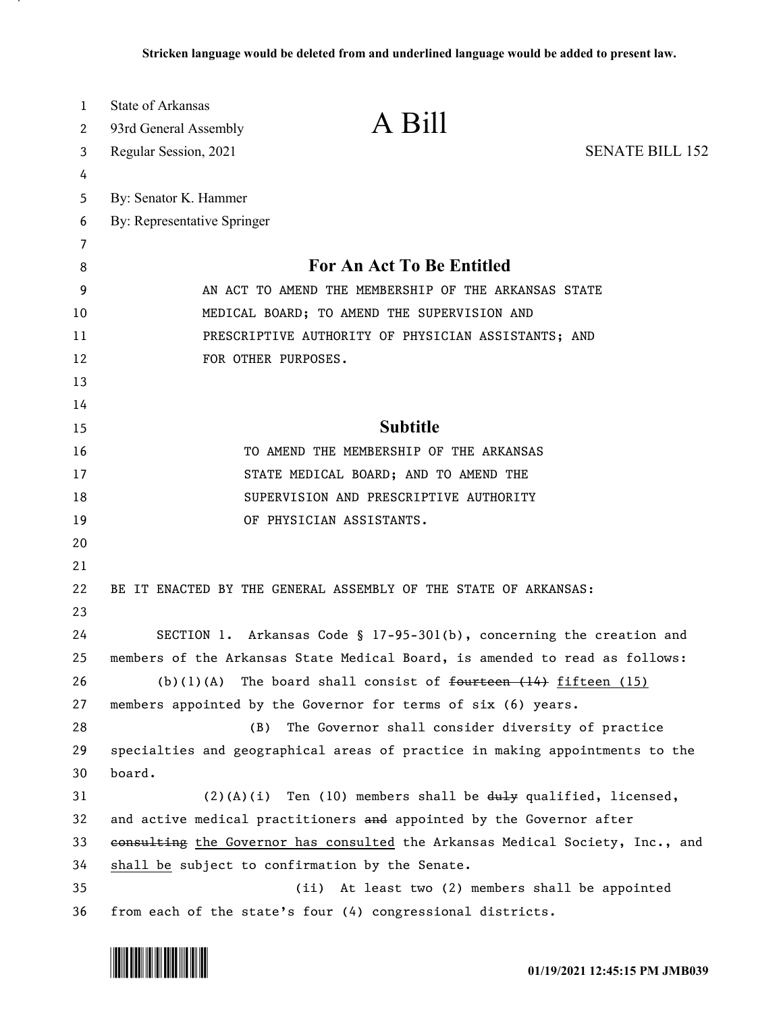| $\mathbf{1}$ | <b>State of Arkansas</b>    |                                                                               |                        |
|--------------|-----------------------------|-------------------------------------------------------------------------------|------------------------|
| 2            | 93rd General Assembly       | A Bill                                                                        |                        |
| 3            | Regular Session, 2021       |                                                                               | <b>SENATE BILL 152</b> |
| 4            |                             |                                                                               |                        |
| 5            | By: Senator K. Hammer       |                                                                               |                        |
| 6            | By: Representative Springer |                                                                               |                        |
| 7            |                             |                                                                               |                        |
| 8            |                             | <b>For An Act To Be Entitled</b>                                              |                        |
| 9            |                             | AN ACT TO AMEND THE MEMBERSHIP OF THE ARKANSAS STATE                          |                        |
| 10           |                             | MEDICAL BOARD; TO AMEND THE SUPERVISION AND                                   |                        |
| 11           |                             | PRESCRIPTIVE AUTHORITY OF PHYSICIAN ASSISTANTS; AND                           |                        |
| 12           | FOR OTHER PURPOSES.         |                                                                               |                        |
| 13           |                             |                                                                               |                        |
| 14           |                             |                                                                               |                        |
| 15           |                             | <b>Subtitle</b>                                                               |                        |
| 16           |                             | TO AMEND THE MEMBERSHIP OF THE ARKANSAS                                       |                        |
| 17           |                             | STATE MEDICAL BOARD; AND TO AMEND THE                                         |                        |
| 18           |                             | SUPERVISION AND PRESCRIPTIVE AUTHORITY                                        |                        |
| 19           |                             | OF PHYSICIAN ASSISTANTS.                                                      |                        |
| 20           |                             |                                                                               |                        |
| 21           |                             |                                                                               |                        |
| 22           |                             | BE IT ENACTED BY THE GENERAL ASSEMBLY OF THE STATE OF ARKANSAS:               |                        |
| 23           |                             |                                                                               |                        |
| 24           |                             | SECTION 1. Arkansas Code § 17-95-301(b), concerning the creation and          |                        |
| 25           |                             | members of the Arkansas State Medical Board, is amended to read as follows:   |                        |
| 26           |                             | (b)(1)(A) The board shall consist of $f$ fourteen $(14)$ fifteen $(15)$       |                        |
| 27           |                             | members appointed by the Governor for terms of six (6) years.                 |                        |
| 28           | (B)                         | The Governor shall consider diversity of practice                             |                        |
| 29           |                             | specialties and geographical areas of practice in making appointments to the  |                        |
| 30           | board.                      |                                                                               |                        |
| 31           |                             | $(2)(A)(i)$ Ten (10) members shall be $d_i$ qualified, licensed,              |                        |
| 32           |                             | and active medical practitioners and appointed by the Governor after          |                        |
| 33           |                             | consulting the Governor has consulted the Arkansas Medical Society, Inc., and |                        |
| 34           |                             | shall be subject to confirmation by the Senate.                               |                        |
| 35           |                             | At least two (2) members shall be appointed<br>(ii)                           |                        |
| 36           |                             | from each of the state's four (4) congressional districts.                    |                        |

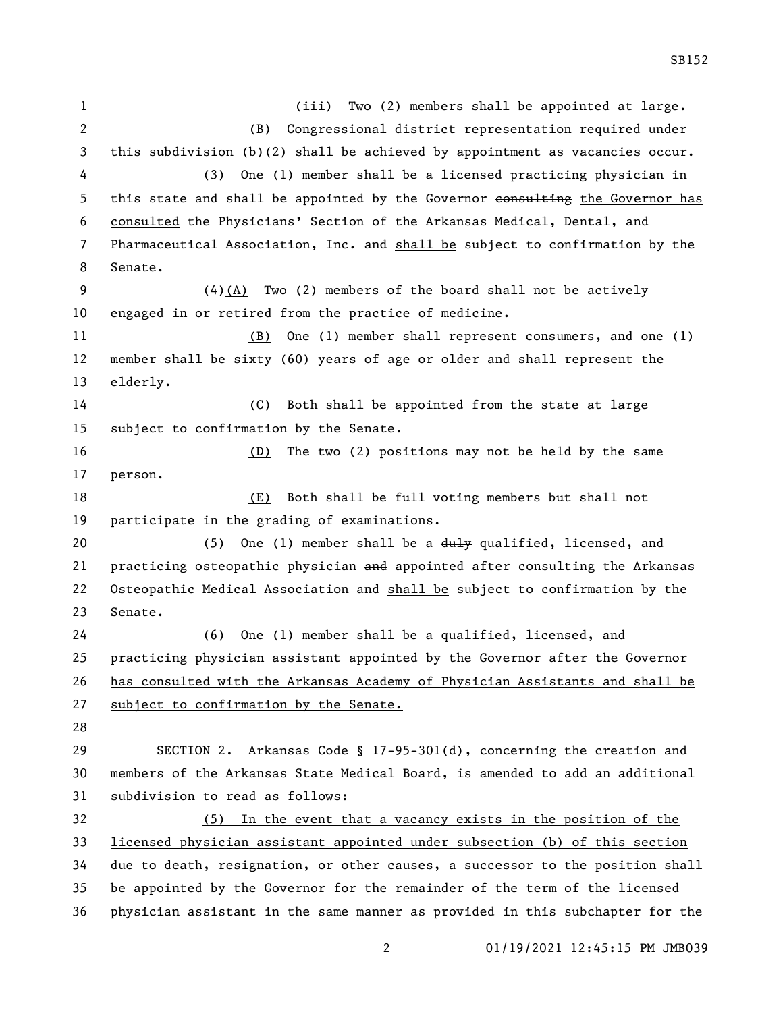(iii) Two (2) members shall be appointed at large. (B) Congressional district representation required under this subdivision (b)(2) shall be achieved by appointment as vacancies occur. (3) One (1) member shall be a licensed practicing physician in 5 this state and shall be appointed by the Governor eonsulting the Governor has consulted the Physicians' Section of the Arkansas Medical, Dental, and Pharmaceutical Association, Inc. and shall be subject to confirmation by the Senate. (4)(A) Two (2) members of the board shall not be actively engaged in or retired from the practice of medicine. (B) One (1) member shall represent consumers, and one (1) member shall be sixty (60) years of age or older and shall represent the elderly. (C) Both shall be appointed from the state at large subject to confirmation by the Senate. (D) The two (2) positions may not be held by the same person. (E) Both shall be full voting members but shall not participate in the grading of examinations. 20 (5) One (1) member shall be a duly qualified, licensed, and 21 practicing osteopathic physician and appointed after consulting the Arkansas Osteopathic Medical Association and shall be subject to confirmation by the Senate. (6) One (1) member shall be a qualified, licensed, and practicing physician assistant appointed by the Governor after the Governor has consulted with the Arkansas Academy of Physician Assistants and shall be subject to confirmation by the Senate. SECTION 2. Arkansas Code § 17-95-301(d), concerning the creation and members of the Arkansas State Medical Board, is amended to add an additional subdivision to read as follows: (5) In the event that a vacancy exists in the position of the licensed physician assistant appointed under subsection (b) of this section due to death, resignation, or other causes, a successor to the position shall be appointed by the Governor for the remainder of the term of the licensed physician assistant in the same manner as provided in this subchapter for the

01/19/2021 12:45:15 PM JMB039

SB152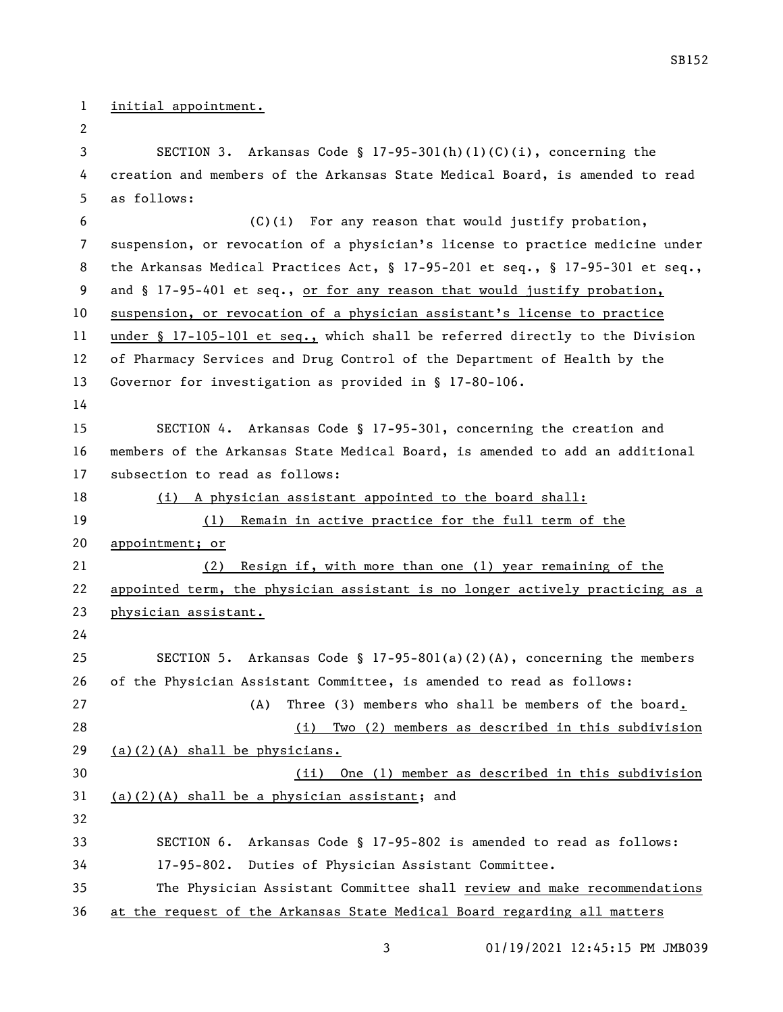## initial appointment.

 SECTION 3. Arkansas Code § 17-95-301(h)(1)(C)(i), concerning the creation and members of the Arkansas State Medical Board, is amended to read as follows: (C)(i) For any reason that would justify probation, suspension, or revocation of a physician's license to practice medicine under the Arkansas Medical Practices Act, § 17-95-201 et seq., § 17-95-301 et seq., 9 and § 17-95-401 et seq., or for any reason that would justify probation, suspension, or revocation of a physician assistant's license to practice under § 17-105-101 et seq., which shall be referred directly to the Division of Pharmacy Services and Drug Control of the Department of Health by the Governor for investigation as provided in § 17-80-106. SECTION 4. Arkansas Code § 17-95-301, concerning the creation and members of the Arkansas State Medical Board, is amended to add an additional subsection to read as follows: (i) A physician assistant appointed to the board shall: (1) Remain in active practice for the full term of the appointment; or (2) Resign if, with more than one (1) year remaining of the appointed term, the physician assistant is no longer actively practicing as a physician assistant. SECTION 5. Arkansas Code § 17-95-801(a)(2)(A), concerning the members of the Physician Assistant Committee, is amended to read as follows: (A) Three (3) members who shall be members of the board. (i) Two (2) members as described in this subdivision  $(a)(2)(A)$  shall be physicians. (ii) One (1) member as described in this subdivision (a)(2)(A) shall be a physician assistant; and SECTION 6. Arkansas Code § 17-95-802 is amended to read as follows: 17-95-802. Duties of Physician Assistant Committee.

 The Physician Assistant Committee shall review and make recommendations at the request of the Arkansas State Medical Board regarding all matters

01/19/2021 12:45:15 PM JMB039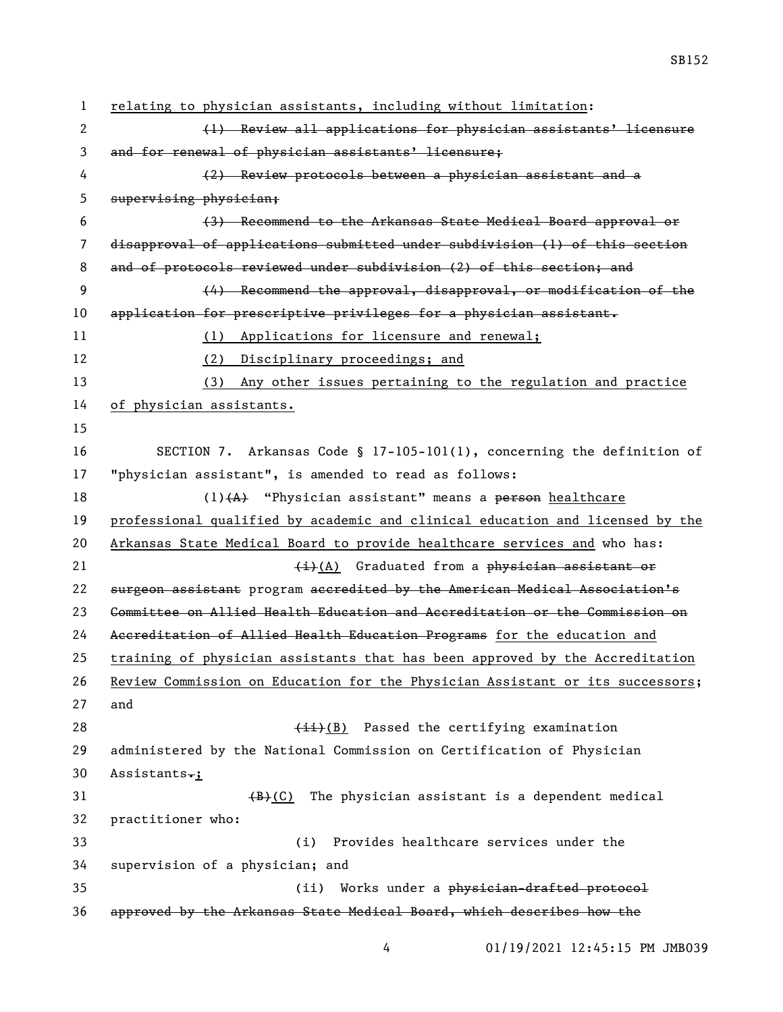| $\mathbf{1}$ | relating to physician assistants, including without limitation:               |
|--------------|-------------------------------------------------------------------------------|
| 2            | (1) Review all applications for physician assistants' licensure               |
| 3            | and for renewal of physician assistants' licensure;                           |
| 4            | (2) Review protocols between a physician assistant and a                      |
| 5            | supervising physician;                                                        |
| 6            | (3) Recommend to the Arkansas State Medical Board approval or                 |
| 7            | disapproval of applications submitted under subdivision (1) of this section   |
| 8            | and of protocols reviewed under subdivision (2) of this section; and          |
| 9            | (4) Recommend the approval, disapproval, or modification of the               |
| 10           | application for prescriptive privileges for a physician assistant.            |
| 11           | (1) Applications for licensure and renewal;                                   |
| 12           | Disciplinary proceedings; and<br>(2)                                          |
| 13           | Any other issues pertaining to the regulation and practice<br>(3)             |
| 14           | of physician assistants.                                                      |
| 15           |                                                                               |
| 16           | SECTION 7. Arkansas Code § 17-105-101(1), concerning the definition of        |
| 17           | "physician assistant", is amended to read as follows:                         |
| 18           | $(1)$ $(A)$ "Physician assistant" means a person healthcare                   |
| 19           | professional qualified by academic and clinical education and licensed by the |
| 20           | Arkansas State Medical Board to provide healthcare services and who has:      |
| 21           | $\frac{1}{2}$ Graduated from a physician assistant or                         |
| 22           | surgeon assistant program accredited by the American Medical Association's    |
| 23           | Committee on Allied Health Education and Accreditation or the Commission on   |
| 24           | Accreditation of Allied Health Education Programs for the education and       |
| 25           | training of physician assistants that has been approved by the Accreditation  |
| 26           | Review Commission on Education for the Physician Assistant or its successors; |
| 27           | and                                                                           |
| 28           | $(iii)(B)$ Passed the certifying examination                                  |
| 29           | administered by the National Commission on Certification of Physician         |
| 30           | Assistants.;                                                                  |
| 31           | The physician assistant is a dependent medical<br><del>(B)</del> (C)          |
| 32           | practitioner who:                                                             |
| 33           | Provides healthcare services under the<br>(i)                                 |
| 34           | supervision of a physician; and                                               |
| 35           | Works under a physician-drafted protocol<br>(ii)                              |
| 36           | approved by the Arkansas State Medical Board, which describes how the         |

01/19/2021 12:45:15 PM JMB039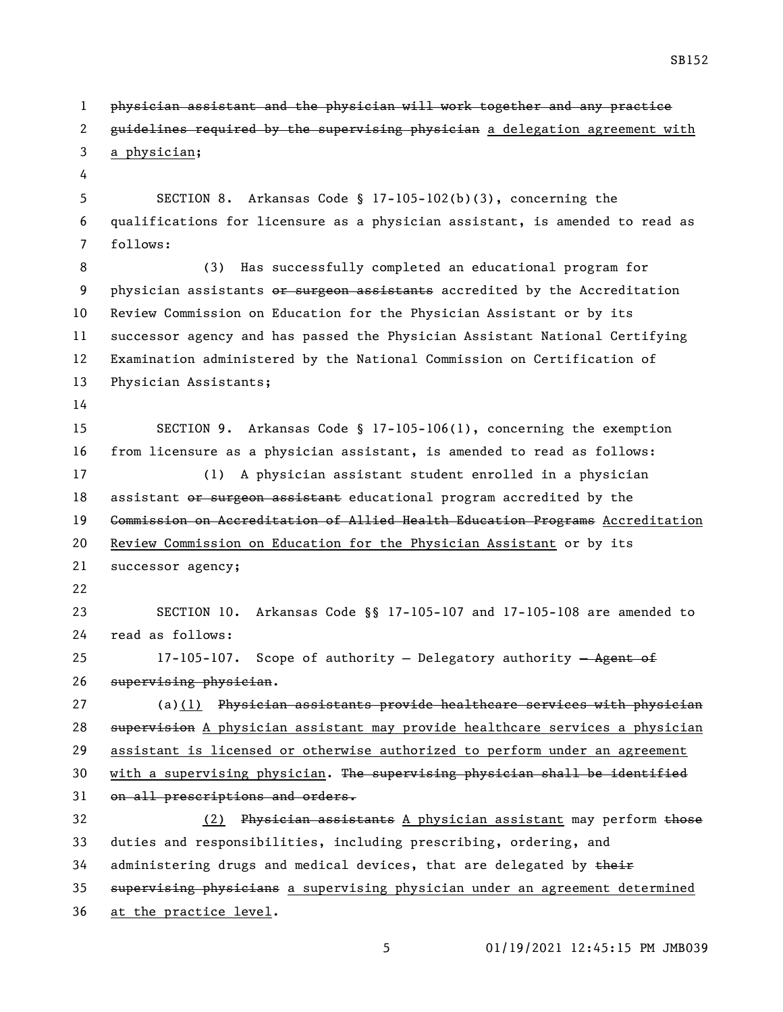physician assistant and the physician will work together and any practice 2 guidelines required by the supervising physician a delegation agreement with a physician; SECTION 8. Arkansas Code § 17-105-102(b)(3), concerning the qualifications for licensure as a physician assistant, is amended to read as follows: (3) Has successfully completed an educational program for 9 physician assistants or surgeon assistants accredited by the Accreditation Review Commission on Education for the Physician Assistant or by its successor agency and has passed the Physician Assistant National Certifying Examination administered by the National Commission on Certification of Physician Assistants; SECTION 9. Arkansas Code § 17-105-106(1), concerning the exemption from licensure as a physician assistant, is amended to read as follows: (1) A physician assistant student enrolled in a physician 18 assistant or surgeon assistant educational program accredited by the 19 <del>Commission on Accreditation of Allied Health Education Programs</del> Accreditation Review Commission on Education for the Physician Assistant or by its successor agency; SECTION 10. Arkansas Code §§ 17-105-107 and 17-105-108 are amended to read as follows: 25 17-105-107. Scope of authority - Delegatory authority - Agent of supervising physician. 27 (a)(1) Physician assistants provide healthcare services with physician 28 supervision A physician assistant may provide healthcare services a physician assistant is licensed or otherwise authorized to perform under an agreement 30 with a supervising physician. The supervising physician shall be identified 31 on all prescriptions and orders. 32 (2) Physician assistants A physician assistant may perform those duties and responsibilities, including prescribing, ordering, and 34 administering drugs and medical devices, that are delegated by their 35 supervising physicians a supervising physician under an agreement determined at the practice level.

01/19/2021 12:45:15 PM JMB039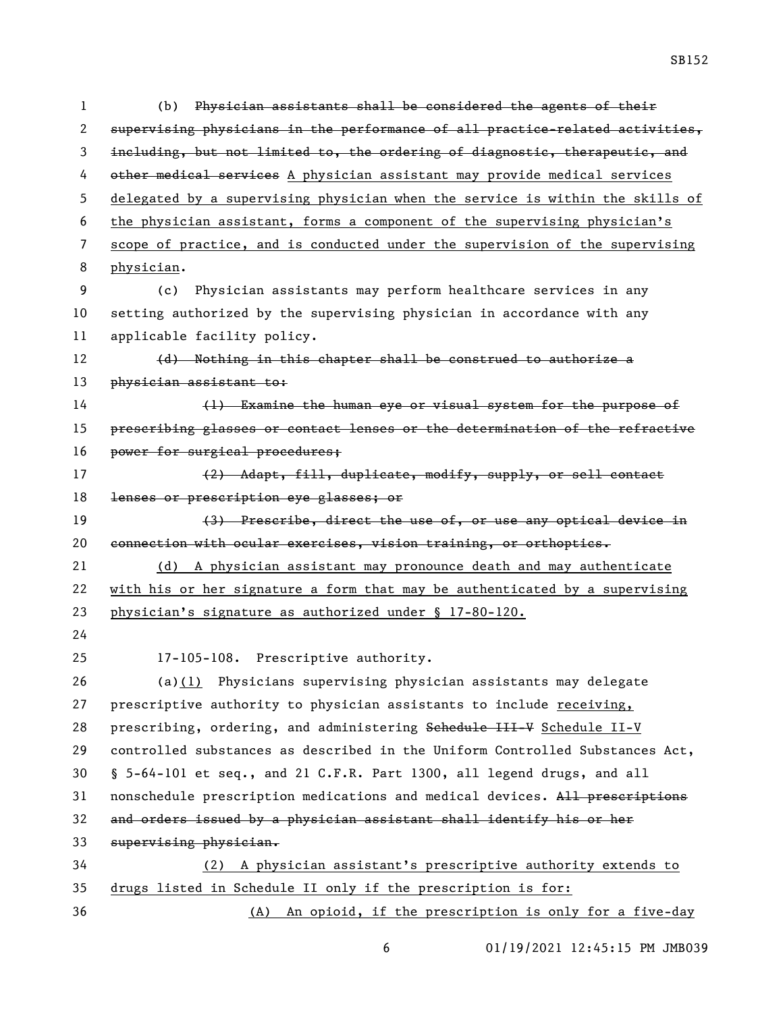(b) Physician assistants shall be considered the agents of their supervising physicians in the performance of all practice-related activities, including, but not limited to, the ordering of diagnostic, therapeutic, and other medical services A physician assistant may provide medical services delegated by a supervising physician when the service is within the skills of the physician assistant, forms a component of the supervising physician's scope of practice, and is conducted under the supervision of the supervising physician. (c) Physician assistants may perform healthcare services in any setting authorized by the supervising physician in accordance with any applicable facility policy. 12 (d) Nothing in this chapter shall be construed to authorize a 13 physician assistant to: (1) Examine the human eye or visual system for the purpose of prescribing glasses or contact lenses or the determination of the refractive 16 power for surgical procedures; (2) Adapt, fill, duplicate, modify, supply, or sell contact 18 lenses or prescription eye glasses; or (3) Prescribe, direct the use of, or use any optical device in connection with ocular exercises, vision training, or orthoptics. (d) A physician assistant may pronounce death and may authenticate with his or her signature a form that may be authenticated by a supervising physician's signature as authorized under § 17-80-120. 17-105-108. Prescriptive authority. (a)(1) Physicians supervising physician assistants may delegate prescriptive authority to physician assistants to include receiving, 28 prescribing, ordering, and administering Sehedule III-V Schedule II-V controlled substances as described in the Uniform Controlled Substances Act, § 5-64-101 et seq., and 21 C.F.R. Part 1300, all legend drugs, and all nonschedule prescription medications and medical devices. All prescriptions and orders issued by a physician assistant shall identify his or her supervising physician. (2) A physician assistant's prescriptive authority extends to drugs listed in Schedule II only if the prescription is for: (A) An opioid, if the prescription is only for a five-day

01/19/2021 12:45:15 PM JMB039

SB152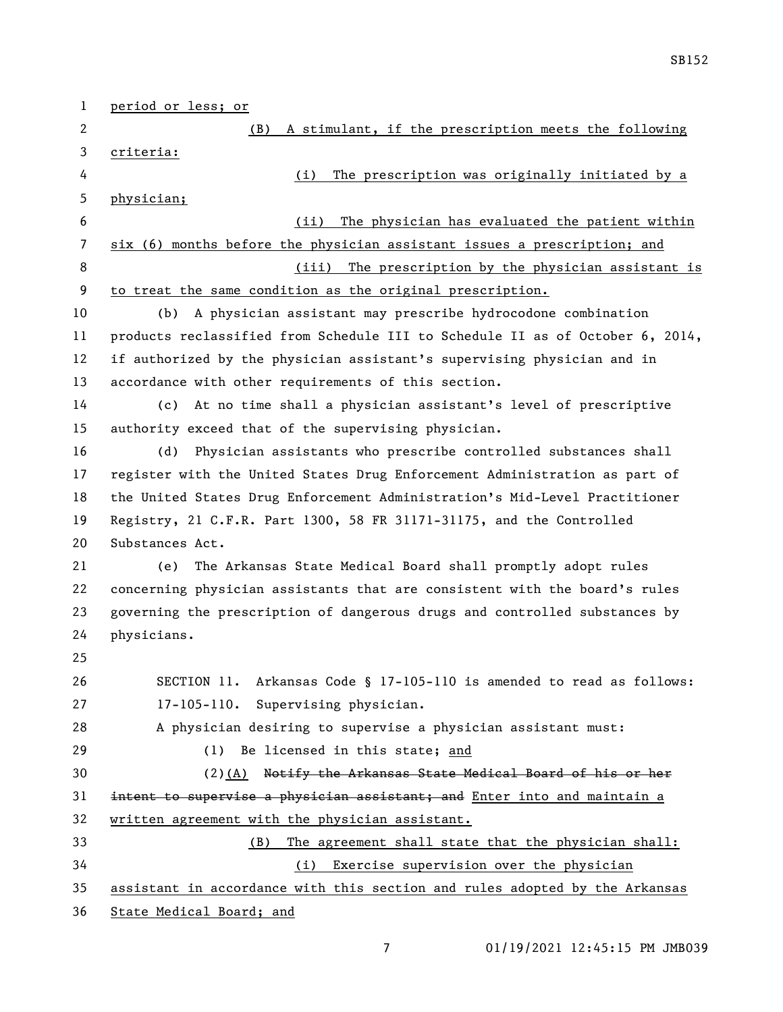| 1              | period or less; or                                                            |
|----------------|-------------------------------------------------------------------------------|
| 2              | A stimulant, if the prescription meets the following<br>(B)                   |
| 3              | criteria:                                                                     |
| 4              | The prescription was originally initiated by a<br>(i)                         |
| 5              | physician;                                                                    |
| 6              | The physician has evaluated the patient within<br>(ii)                        |
| $\overline{7}$ | six (6) months before the physician assistant issues a prescription; and      |
| 8              | The prescription by the physician assistant is<br>(iii)                       |
| 9              | to treat the same condition as the original prescription.                     |
| 10             | A physician assistant may prescribe hydrocodone combination<br>(b)            |
| 11             | products reclassified from Schedule III to Schedule II as of October 6, 2014, |
| 12             | if authorized by the physician assistant's supervising physician and in       |
| 13             | accordance with other requirements of this section.                           |
| 14             | At no time shall a physician assistant's level of prescriptive<br>(c)         |
| 15             | authority exceed that of the supervising physician.                           |
| 16             | (d)<br>Physician assistants who prescribe controlled substances shall         |
| 17             | register with the United States Drug Enforcement Administration as part of    |
| 18             | the United States Drug Enforcement Administration's Mid-Level Practitioner    |
| 19             | Registry, 21 C.F.R. Part 1300, 58 FR 31171-31175, and the Controlled          |
| 20             | Substances Act.                                                               |
| 21             | The Arkansas State Medical Board shall promptly adopt rules<br>(e)            |
| 22             | concerning physician assistants that are consistent with the board's rules    |
| 23             | governing the prescription of dangerous drugs and controlled substances by    |
| 24             | physicians.                                                                   |
| 25             |                                                                               |
| 26             | SECTION 11. Arkansas Code § 17-105-110 is amended to read as follows:         |
| 27             | Supervising physician.<br>$17 - 105 - 110.$                                   |
| 28             | A physician desiring to supervise a physician assistant must:                 |
| 29             | Be licensed in this state; and<br>(1)                                         |
| 30             | $(2)$ (A) Notify the Arkansas State Medical Board of his or her               |
| 31             | intent to supervise a physician assistant; and Enter into and maintain a      |
| 32             | written agreement with the physician assistant.                               |
| 33             | The agreement shall state that the physician shall:<br>(B)                    |
| 34             | (i) Exercise supervision over the physician                                   |
| 35             | assistant in accordance with this section and rules adopted by the Arkansas   |
| 36             | State Medical Board; and                                                      |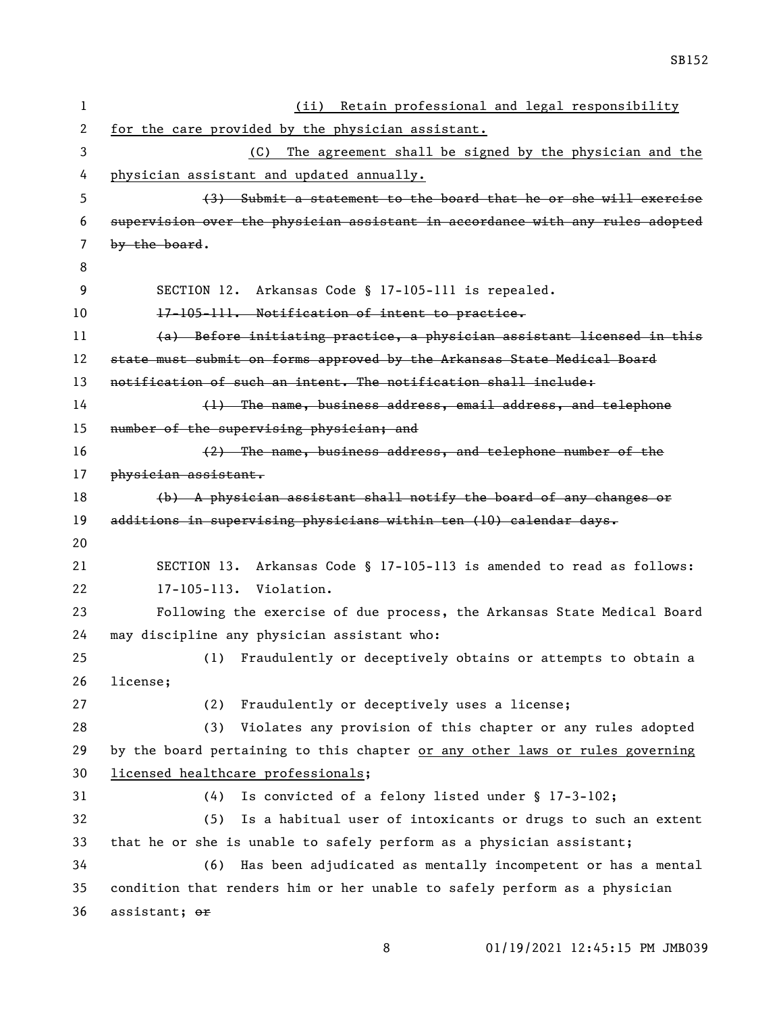| 1            | (ii) Retain professional and legal responsibility                             |
|--------------|-------------------------------------------------------------------------------|
| $\mathbf{2}$ | for the care provided by the physician assistant.                             |
| 3            | The agreement shall be signed by the physician and the<br>(C)                 |
| 4            | physician assistant and updated annually.                                     |
| 5            | (3) Submit a statement to the board that he or she will exercise              |
| 6            | supervision over the physician assistant in accordance with any rules adopted |
| 7            | by the board.                                                                 |
| 8            |                                                                               |
| 9            | SECTION 12. Arkansas Code § 17-105-111 is repealed.                           |
| 10           | 17-105-111. Notification of intent to practice.                               |
| 11           | (a) Before initiating practice, a physician assistant licensed in this        |
| 12           | state must submit on forms approved by the Arkansas State Medical Board       |
| 13           | notification of such an intent. The notification shall include:               |
| 14           | (1) The name, business address, email address, and telephone                  |
| 15           | number of the supervising physician; and                                      |
| 16           | (2) The name, business address, and telephone number of the                   |
| 17           | physician assistant.                                                          |
| 18           | (b) A physician assistant shall notify the board of any changes or            |
|              |                                                                               |
| 19           | additions in supervising physicians within ten (10) calendar days.            |
| 20           |                                                                               |
| 21           | SECTION 13. Arkansas Code § 17-105-113 is amended to read as follows:         |
| 22           | 17-105-113. Violation.                                                        |
| 23           | Following the exercise of due process, the Arkansas State Medical Board       |
| 24           | may discipline any physician assistant who:                                   |
| 25           | Fraudulently or deceptively obtains or attempts to obtain a<br>(1)            |
| 26           | license;                                                                      |
| 27           | Fraudulently or deceptively uses a license;<br>(2)                            |
| 28           | Violates any provision of this chapter or any rules adopted<br>(3)            |
| 29           | by the board pertaining to this chapter or any other laws or rules governing  |
| 30           | licensed healthcare professionals;                                            |
| 31           | Is convicted of a felony listed under § 17-3-102;<br>(4)                      |
| 32           | (5)<br>Is a habitual user of intoxicants or drugs to such an extent           |
| 33           | that he or she is unable to safely perform as a physician assistant;          |
| 34           | (6) Has been adjudicated as mentally incompetent or has a mental              |
| 35           | condition that renders him or her unable to safely perform as a physician     |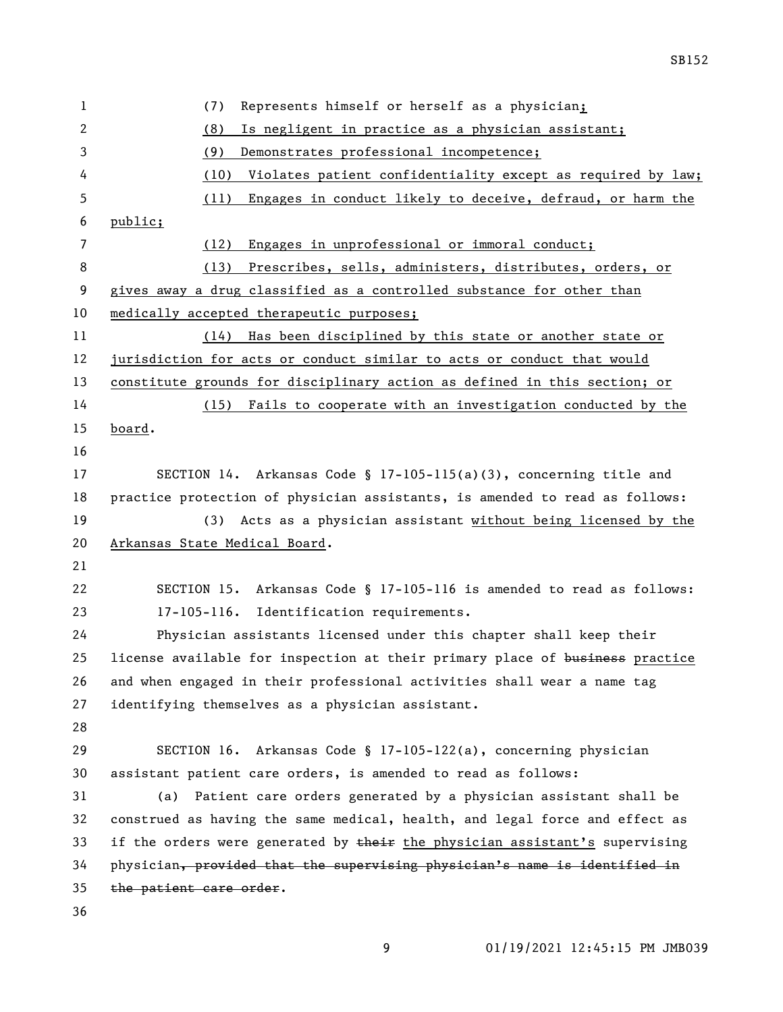| 1  | Represents himself or herself as a physician;<br>(7)                         |
|----|------------------------------------------------------------------------------|
| 2  | (8)<br>Is negligent in practice as a physician assistant;                    |
| 3  | (9)<br>Demonstrates professional incompetence;                               |
| 4  | Violates patient confidentiality except as required by law;<br>(10)          |
| 5  | (11)<br>Engages in conduct likely to deceive, defraud, or harm the           |
| 6  | public;                                                                      |
| 7  | Engages in unprofessional or immoral conduct;<br>(12)                        |
| 8  | Prescribes, sells, administers, distributes, orders, or<br>(13)              |
| 9  | gives away a drug classified as a controlled substance for other than        |
| 10 | medically accepted therapeutic purposes;                                     |
| 11 | Has been disciplined by this state or another state or<br>(14)               |
| 12 | jurisdiction for acts or conduct similar to acts or conduct that would       |
| 13 | constitute grounds for disciplinary action as defined in this section; or    |
| 14 | (15) Fails to cooperate with an investigation conducted by the               |
| 15 | board.                                                                       |
| 16 |                                                                              |
| 17 | SECTION 14. Arkansas Code § 17-105-115(a)(3), concerning title and           |
| 18 | practice protection of physician assistants, is amended to read as follows:  |
| 19 | (3) Acts as a physician assistant without being licensed by the              |
| 20 | Arkansas State Medical Board.                                                |
| 21 |                                                                              |
| 22 | SECTION 15. Arkansas Code § 17-105-116 is amended to read as follows:        |
| 23 | 17-105-116. Identification requirements.                                     |
| 24 | Physician assistants licensed under this chapter shall keep their            |
| 25 | license available for inspection at their primary place of business practice |
| 26 | and when engaged in their professional activities shall wear a name tag      |
| 27 | identifying themselves as a physician assistant.                             |
| 28 |                                                                              |
| 29 | SECTION 16. Arkansas Code § 17-105-122(a), concerning physician              |
| 30 | assistant patient care orders, is amended to read as follows:                |
| 31 | Patient care orders generated by a physician assistant shall be<br>(a)       |
| 32 | construed as having the same medical, health, and legal force and effect as  |
| 33 | if the orders were generated by their the physician assistant's supervising  |
| 34 | physician, provided that the supervising physician's name is identified in   |
| 35 | the patient care order.                                                      |
| 36 |                                                                              |
|    |                                                                              |